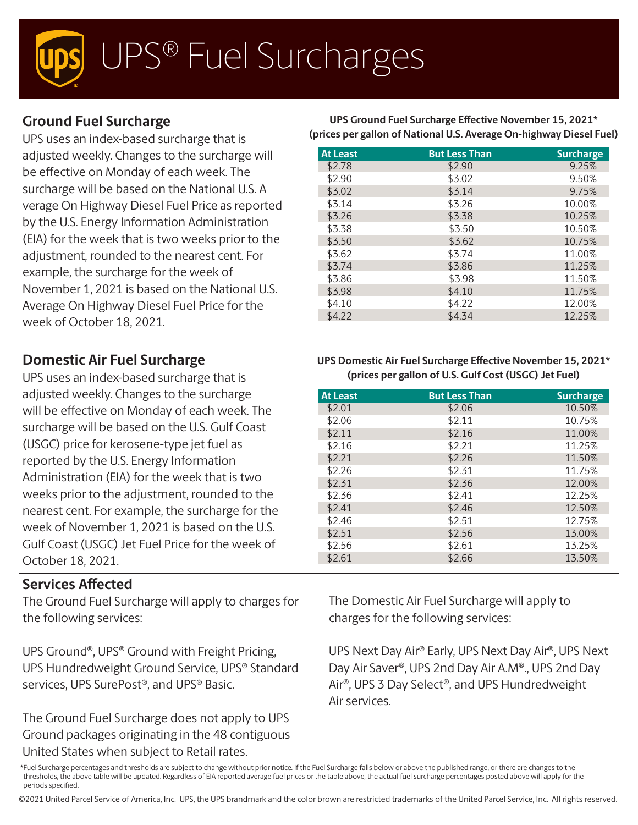# UPS® Fuel Surcharges

## **Ground Fuel Surcharge**

UPS uses an index-based surcharge that is adjusted weekly. Changes to the surcharge will be effective on Monday of each week. The surcharge will be based on the National U.S. A verage On Highway Diesel Fuel Price as reported by the U.S. Energy Information Administration (EIA) for the week that is two weeks prior to the adjustment, rounded to the nearest cent. For example, the surcharge for the week of November 1, 2021 is based on the National U.S. Average On Highway Diesel Fuel Price for the week of October 18, 2021.

### **Domestic Air Fuel Surcharge**

UPS uses an index-based surcharge that is adjusted weekly. Changes to the surcharge will be effective on Monday of each week. The surcharge will be based on the U.S. Gulf Coast (USGC) price for kerosene-type jet fuel as reported by the U.S. Energy Information Administration (EIA) for the week that is two weeks prior to the adjustment, rounded to the nearest cent. For example, the surcharge for the week of November 1, 2021 is based on the U.S. Gulf Coast (USGC) Jet Fuel Price for the week of October 18, 2021.

### **Services Affected**

The Ground Fuel Surcharge will apply to charges for the following services:

UPS Ground®, UPS® Ground with Freight Pricing, UPS Hundredweight Ground Service, UPS® Standard services, UPS SurePost®, and UPS® Basic.

The Ground Fuel Surcharge does not apply to UPS Ground packages originating in the 48 contiguous United States when subject to Retail rates.

**UPS Ground Fuel Surcharge Effective November 15, 2021\* (prices per gallon of National U.S. Average On-highway Diesel Fuel)**

| <b>At Least</b> | <b>But Less Than</b> | <b>Surcharge</b> |
|-----------------|----------------------|------------------|
| \$2.78          | \$2.90               | 9.25%            |
| \$2.90          | \$3.02               | 9.50%            |
| \$3.02          | \$3.14               | 9.75%            |
| \$3.14          | \$3.26               | 10.00%           |
| \$3.26          | \$3.38               | 10.25%           |
| \$3.38          | \$3.50               | 10.50%           |
| \$3.50          | \$3.62               | 10.75%           |
| \$3.62          | \$3.74               | 11.00%           |
| \$3.74          | \$3.86               | 11.25%           |
| \$3.86          | \$3.98               | 11.50%           |
| \$3.98          | \$4.10               | 11.75%           |
| \$4.10          | \$4.22               | 12.00%           |
| \$4.22          | \$4.34               | 12.25%           |

#### **UPS Domestic Air Fuel Surcharge Effective November 15, 2021\* (prices per gallon of U.S. Gulf Cost (USGC) Jet Fuel)**

| <b>At Least</b> | <b>But Less Than</b> | <b>Surcharge</b> |
|-----------------|----------------------|------------------|
| \$2.01          | \$2.06               | 10.50%           |
| \$2.06          | \$2.11               | 10.75%           |
| \$2.11          | \$2.16               | 11.00%           |
| \$2.16          | \$2.21               | 11.25%           |
| \$2.21          | \$2.26               | 11.50%           |
| \$2.26          | \$2.31               | 11.75%           |
| \$2.31          | \$2.36               | 12.00%           |
| \$2.36          | \$2.41               | 12.25%           |
| \$2.41          | \$2.46               | 12.50%           |
| \$2.46          | \$2.51               | 12.75%           |
| \$2.51          | \$2.56               | 13.00%           |
| \$2.56          | \$2.61               | 13.25%           |
| \$2.61          | \$2.66               | 13.50%           |

The Domestic Air Fuel Surcharge will apply to charges for the following services:

UPS Next Day Air® Early, UPS Next Day Air®, UPS Next Day Air Saver®, UPS 2nd Day Air A.M®., UPS 2nd Day Air®, UPS 3 Day Select®, and UPS Hundredweight Air services.

©2021 United Parcel Service of America, Inc. UPS, the UPS brandmark and the color brown are restricted trademarks of the United Parcel Service, Inc. All rights reserved.

<sup>\*</sup>Fuel Surcharge percentages and thresholds are subject to change without prior notice. If the Fuel Surcharge falls below or above the published range, or there are changes to the thresholds, the above table will be updated. Regardless of EIA reported average fuel prices or the table above, the actual fuel surcharge percentages posted above will apply for the periods specified.